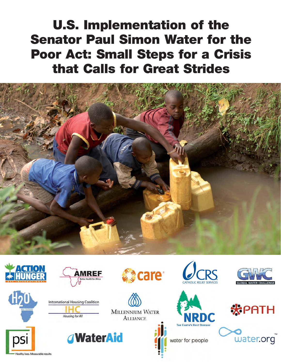**U.S. Implementation of the Senator Paul Simon Water for the Poor Act: Small Steps for a Crisis that Calls for Great Strides**



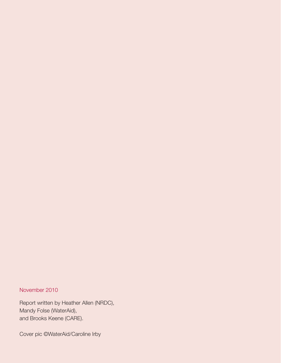#### November 2010

Report written by Heather Allen (NRDC), Mandy Folse (WaterAid), and Brooks Keene (CARE).

Cover pic ©WaterAid/Caroline Irby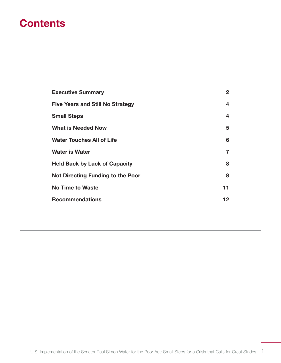# **Contents**

| <b>Executive Summary</b>                 | $\mathbf{2}$ |
|------------------------------------------|--------------|
| <b>Five Years and Still No Strategy</b>  | 4            |
| <b>Small Steps</b>                       | 4            |
| <b>What is Needed Now</b>                | 5            |
| <b>Water Touches All of Life</b>         | 6            |
| <b>Water is Water</b>                    | 7            |
| <b>Held Back by Lack of Capacity</b>     | 8            |
| <b>Not Directing Funding to the Poor</b> | 8            |
| <b>No Time to Waste</b>                  | 11           |
| <b>Recommendations</b>                   | 12           |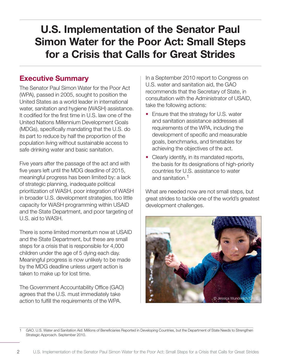# **U.S. Implementation of the Senator Paul Simon Water for the Poor Act: Small Steps for a Crisis that Calls for Great Strides**

### **Executive Summary**

The Senator Paul Simon Water for the Poor Act (WPA), passed in 2005, sought to position the United States as a world leader in international water, sanitation and hygiene (WASH) assistance. It codified for the first time in U.S. law one of the United Nations Millennium Development Goals (MDGs), specifically mandating that the U.S. do its part to reduce by half the proportion of the population living without sustainable access to safe drinking water and basic sanitation.

Five years after the passage of the act and with five years left until the MDG deadline of 2015, meaningful progress has been limited by: a lack of strategic planning, inadequate political prioritization of WASH, poor integration of WASH in broader U.S. development strategies, too little capacity for WASH programming within USAID and the State Department, and poor targeting of U.S. aid to WASH.

There is some limited momentum now at USAID and the State Department, but these are small steps for a crisis that is responsible for 4,000 children under the age of 5 dying each day. Meaningful progress is now unlikely to be made by the MDG deadline unless urgent action is taken to make up for lost time.

The Government Accountability Office (GAO) agrees that the U.S. must immediately take action to fulfill the requirements of the WPA.

In a September 2010 report to Congress on U.S. water and sanitation aid, the GAO recommends that the Secretary of State, in consultation with the Administrator of USAID, take the following actions:

- Ensure that the strategy for U.S. water and sanitation assistance addresses all requirements of the WPA, including the development of specific and measurable goals, benchmarks, and timetables for achieving the objectives of the act.
- Clearly identify, in its mandated reports, the basis for its designations of high-priority countries for U.S. assistance to water and sanitation.1

What are needed now are not small steps, but great strides to tackle one of the world's greatest development challenges.



<sup>1</sup> GAO. U.S. Water and Sanitation Aid: Millions of Beneficiaries Reported in Developing Countries, but the Department of State Needs to Strengthen Strategic Approach. September 2010.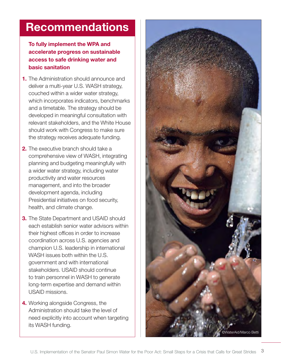# **Recommendations**

**To fully implement the WPA and accelerate progress on sustainable access to safe drinking water and basic sanitation**

- **1.** The Administration should announce and deliver a multi-year U.S. WASH strategy, couched within a wider water strategy, which incorporates indicators, benchmarks and a timetable. The strategy should be developed in meaningful consultation with relevant stakeholders, and the White House should work with Congress to make sure the strategy receives adequate funding.
- **2.** The executive branch should take a comprehensive view of WASH, integrating planning and budgeting meaningfully with a wider water strategy, including water productivity and water resources management, and into the broader development agenda, including Presidential initiatives on food security, health, and climate change.
- **3.** The State Department and USAID should each establish senior water advisors within their highest offices in order to increase coordination across U.S. agencies and champion U.S. leadership in international WASH issues both within the U.S. government and with international stakeholders. USAID should continue to train personnel in WASH to generate long-term expertise and demand within USAID missions.
- **4.** Working alongside Congress, the Administration should take the level of need explicitly into account when targeting its WASH funding.

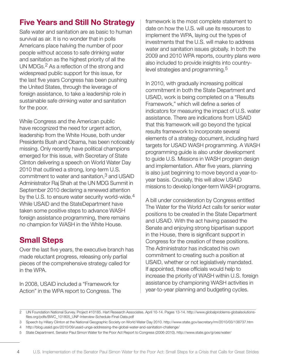# **Five Years and Still No Strategy**

Safe water and sanitation are as basic to human survival as air. It is no wonder that in polls Americans place halving the number of poor people without access to safe drinking water and sanitation as the highest priority of all the UN MDGs.<sup>2</sup> As a reflection of the strong and widespread public support for this issue, for the last five years Congress has been pushing the United States, through the leverage of foreign assistance, to take a leadership role in sustainable safe drinking water and sanitation for the poor.

While Congress and the American public have recognized the need for urgent action, leadership from the White House, both under Presidents Bush and Obama, has been noticeably missing. Only recently have political champions emerged for this issue, with Secretary of State Clinton delivering a speech on World Water Day 2010 that outlined a strong, long-term U.S. commitment to water and sanitation, $3$  and USAID Administrator Raj Shah at the UN MDG Summit in September 2010 declaring a renewed attention by the U.S. to ensure water security world-wide.<sup>4</sup> While USAID and the StateDepartment have taken some positive steps to advance WASH foreign assistance programming, there remains no champion for WASH in the White House.

## **Small Steps**

Over the last five years, the executive branch has made reluctant progress, releasing only partial pieces of the comprehensive strategy called for in the WPA.

In 2008, USAID included a "Framework for Action" in the WPA report to Congress. The

framework is the most complete statement to date on how the U.S. will use its resources to implement the WPA, laying out the types of investments that the U.S. will make to address water and sanitation issues globally. In both the 2009 and 2010 WPA reports, country plans were also included to provide insights into countrylevel strategies and programming.<sup>5</sup>

In 2010, with gradually increasing political commitment in both the State Department and USAID, work is being completed on a "Results Framework," which will define a series of indicators for measuring the impact of U.S. water assistance. There are indications from USAID that this framework will go beyond the typical results framework to incorporate several elements of a strategy document, including hard targets for USAID WASH programming. A WASH programming guide is also under development to guide U.S. Missions in WASH program design and implementation. After five years, planning is also just beginning to move beyond a year-toyear basis. Crucially, this will allow USAID missions to develop longer-term WASH programs.

A bill under consideration by Congress entitled The Water for the World Act calls for senior water positions to be created in the State Department and USAID. With the act having passed the Senate and enjoying strong bipartisan support in the House, there is significant support in Congress for the creation of these positions. The Administrator has indicated his own commitment to creating such a position at USAID, whether or not legislatively mandated. If appointed, these officials would help to increase the priority of WASH within U.S. foreign assistance by championing WASH activities in year-to-year planning and budgeting cycles.

<sup>2</sup> UN Foundation National Survey. Project #10185. Hart Research Associates. April 10-14. Pages 13-14. http://www.globalproblems-globalsolutionsfiles.org/pdfs/BWC\_101805\_UNF-Interview-Schedule-Final-Data.pdf

<sup>3</sup> Speech by Hillary Clinton at the National Geographic Society on World Water Day 2010. http://www.state.gov/secretary/rm/2010/03/138737.htm

<sup>4</sup> http://blog.usaid.gov/2010/09/usaid-unga-addressing-the-global-water-and-sanitation-challenge/

<sup>5</sup> State Department. Senator Paul Simon Water for the Poor Act Report to Congress (2006-2010). http://www.state.gov/g/oes/water/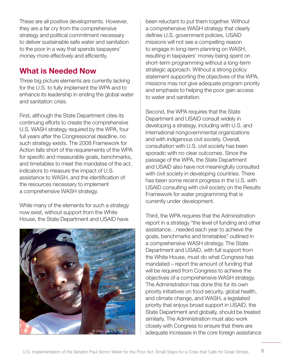These are all positive developments. However, they are a far cry from the comprehensive strategy and political commitment necessary to deliver sustainable safe water and sanitation to the poor in a way that spends taxpayers' money more effectively and efficiently.

### **What is Needed Now**

Three big picture elements are currently lacking for the U.S. to fully implement the WPA and to enhance its leadership in ending the global water and sanitation crisis.

First, although the State Department cites its continuing efforts to create the comprehensive U.S. WASH strategy required by the WPA, four full years after the Congressional deadline, no such strategy exists. The 2008 Framework for Action falls short of the requirements of the WPA for specific and measurable goals, benchmarks, and timetables to meet the mandates of the act, indicators to measure the impact of U.S. assistance to WASH, and the identification of the resources necessary to implement a comprehensive WASH strategy.

While many of the elements for such a strategy now exist, without support from the White House, the State Department and USAID have



been reluctant to put them together. Without a comprehensive WASH strategy that clearly defines U.S. government policies, USAID missions will not see a compelling reason to engage in long-term planning on WASH, resulting in taxpayers' money being spent on short-term programming without a long-term strategic approach. Without a strong policy statement supporting the objectives of the WPA, missions may not give adequate program priority and emphasis to helping the poor gain access to water and sanitation.

Second, the WPA requires that the State Department and USAID consult widely in developing a strategy, including with U.S. and international nongovernmental organizations and with indigenous civil society. Overall, consultation with U.S. civil society has been sporadic with no clear outcomes. Since the passage of the WPA, the State Department and USAID also have not meaningfully consulted with civil society in developing countries. There has been some recent progress in the U.S. with USAID consulting with civil society on the Results Framework for water programming that is currently under development.

Third, the WPA requires that the Administration report in a strategy "the level of funding and other assistance…needed each year to achieve the goals, benchmarks and timetables" outlined in a comprehensive WASH strategy. The State Department and USAID, with full support from the White House, must do what Congress has mandated – report the amount of funding that will be required from Congress to achieve the objectives of a comprehensive WASH strategy. The Administration has done this for its own priority initiatives on food security, global health, and climate change, and WASH, a legislated priority that enjoys broad support in USAID, the State Department and globally, should be treated similarly. The Administration must also work closely with Congress to ensure that there are adequate increases in the core foreign assistance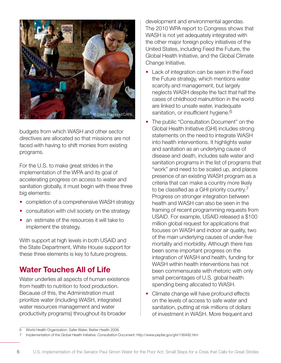

budgets from which WASH and other sector directives are allocated so that missions are not faced with having to shift monies from existing programs.

For the U.S. to make great strides in the implementation of the WPA and its goal of accelerating progress on access to water and sanitation globally, it must begin with these three big elements:

- completion of a comprehensive WASH strategy
- consultation with civil society on the strategy
- an estimate of the resources it will take to implement the strategy.

With support at high levels in both USAID and the State Department, White House support for these three elements is key to future progress.

# **Water Touches All of Life**

Water underlies all aspects of human existence from health to nutrition to food production. Because of this, the Administration must prioritize water (including WASH, integrated water resources management and water productivity programs) throughout its broader

development and environmental agendas. The 2010 WPA report to Congress shows that WASH is not yet adequately integrated with the other major foreign policy initiatives of the United States, including Feed the Future, the Global Health Initiative, and the Global Climate Change Initiative.

- Lack of integration can be seen in the Feed the Future strategy, which mentions water scarcity and management, but largely neglects WASH despite the fact that half the cases of childhood malnutrition in the world are linked to unsafe water, inadequate sanitation, or insufficient hygiene.<sup>6</sup>
- The public "Consultation Document" on the Global Health Initiative (GHI) includes strong statements on the need to integrate WASH into health interventions. It highlights water and sanitation as an underlying cause of disease and death, includes safe water and sanitation programs in the list of programs that "work" and need to be scaled up, and places presence of an existing WASH program as a criteria that can make a country more likely to be classified as a GHI priority country.<sup>7</sup> Progress on stronger integration between health and WASH can also be seen in the framing of recent programming requests from USAID. For example, USAID released a \$100 million global request for applications that focuses on WASH and indoor air quality, two of the main underlying causes of under-five mortality and morbidity. Although there has been some important progress on the integration of WASH and health, funding for WASH within health interventions has not been commensurate with rhetoric with only small percentages of U.S. global health spending being allocated to WASH.
- Climate change will have profound effects on the levels of access to safe water and sanitation, putting at risk millions of dollars of investment in WASH. More frequent and

<sup>6</sup> World Health Organization. Safer Water, Better Health 2008.

<sup>7</sup> Implementation of the Global Health Initiative: Consultation Document. http://www.pepfar.gov/ghi/136492.htm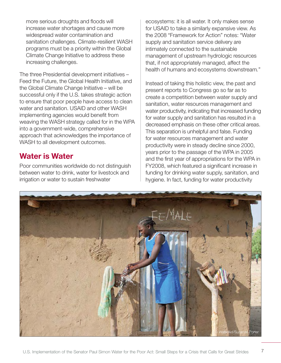more serious droughts and floods will increase water shortages and cause more widespread water contamination and sanitation challenges. Climate-resilient WASH programs must be a priority within the Global Climate Change Initiative to address these increasing challenges.

The three Presidential development initiatives – Feed the Future, the Global Health Initiative, and the Global Climate Change Initiative – will be successful only if the U.S. takes strategic action to ensure that poor people have access to clean water and sanitation. USAID and other WASH implementing agencies would benefit from weaving the WASH strategy called for in the WPA into a government-wide, comprehensive approach that acknowledges the importance of WASH to all development outcomes.

#### **Water is Water**

Poor communities worldwide do not distinguish between water to drink, water for livestock and irrigation or water to sustain freshwater

ecosystems: it is all water. It only makes sense for USAID to take a similarly expansive view. As the 2008 "Framework for Action" notes: "Water supply and sanitation service delivery are intimately connected to the sustainable management of upstream hydrologic resources that, if not appropriately managed, affect the health of humans and ecosystems downstream*.*"

Instead of taking this holistic view, the past and present reports to Congress go so far as to create a competition between water supply and sanitation, water resources management and water productivity, indicating that increased funding for water supply and sanitation has resulted in a decreased emphasis on these other critical areas. This separation is unhelpful and false. Funding for water resources management and water productivity were in steady decline since 2000, years prior to the passage of the WPA in 2005 and the first year of appropriations for the WPA in FY2008, which featured a significant increase in funding for drinking water supply, sanitation, and hygiene. In fact, funding for water productivity

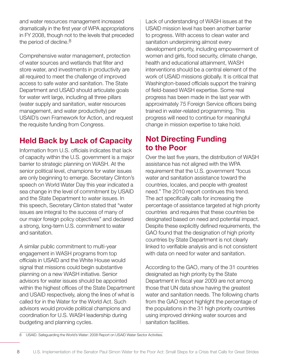and water resources management increased dramatically in the first year of WPA appropriations in FY 2008, though not to the levels that preceded the period of decline.<sup>8</sup>

Comprehensive water management, protection of water sources and wetlands that filter and store water, and investments in productivity are all required to meet the challenge of improved access to safe water and sanitation. The State Department and USAID should articulate goals for water writ large, including all three pillars (water supply and sanitation, water resources management, and water productivity) per USAID's own Framework for Action, and request the requisite funding from Congress.

# **Held Back by Lack of Capacity**

Information from U.S. officials indicates that lack of capacity within the U.S. government is a major barrier to strategic planning on WASH. At the senior political level, champions for water issues are only beginning to emerge. Secretary Clinton's speech on World Water Day this year indicated a sea change in the level of commitment by USAID and the State Department to water issues. In this speech, Secretary Clinton stated that "water issues are integral to the success of many of our major foreign policy objectives" and declared a strong, long-term U.S. commitment to water and sanitation.

A similar public commitment to multi-year engagement in WASH programs from top officials in USAID and the White House would signal that missions could begin substantive planning on a new WASH initiative. Senior advisors for water issues should be appointed within the highest offices of the State Department and USAID respectively, along the lines of what is called for in the Water for the World Act. Such advisors would provide political champions and coordination for U.S. WASH leadership during budgeting and planning cycles.

Lack of understanding of WASH issues at the USAID mission level has been another barrier to progress. With access to clean water and sanitation underpinning almost every development priority, including empowerment of women and girls, food security, climate change, health and educational attainment, WASH interventions should be a central element of the work of USAID missions globally. It is critical that Washington-based officials support the training of field-based WASH expertise. Some real progress has been made in the last year with approximately 75 Foreign Service officers being trained in water-related programming. This progress will need to continue for meaningful change in mission expertise to take hold.

## **Not Directing Funding to the Poor**

Over the last five years, the distribution of WASH assistance has not aligned with the WPA requirement that the U.S. government "focus water and sanitation assistance toward the countries, locales, and people with greatest need." The 2010 report continues this trend. The act specifically calls for increasing the percentage of assistance targeted at high priority countries and requires that these countries be designated based on need and potential impact. Despite these explicitly defined requirements, the GAO found that the designation of high priority countries by State Department is not clearly linked to verifiable analysis and is not consistent with data on need for water and sanitation.

According to the GAO, many of the 31 countries designated as high priority by the State Department in fiscal year 2009 are not among those that UN data show having the greatest water and sanitation needs. The following charts from the GAO report highlight the percentage of the populations in the 31 high priority countries using improved drinking water sources and sanitation facilities.

8 USAID. Safeguarding the World's Water: 2008 Report on USAID Water Sector Activities.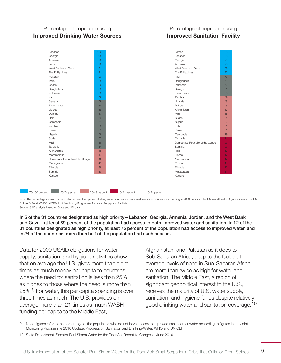| <b>Improved Drinking Water Sources</b> |                 | <b>Improved Sanitation Facility</b> |                  |
|----------------------------------------|-----------------|-------------------------------------|------------------|
| Lebanon                                | 100             | Jordan                              | 98               |
| Georgia                                | 98              | Lebanon                             | 98               |
| Armenia                                | 96              | Georgia                             | 95               |
| Jordan                                 | 96              | Armenia                             | 90               |
| West Bank and Gaza                     | 91              | West Bank and Gaza                  | 89               |
| The Phillippines                       | 91              | The Phillippines                    | 76               |
| Pakistan                               | 90              | Iraq                                | 73               |
| India                                  | 88              | Bangladesh                          | 53               |
| Ghana                                  | 82              | Indonesia                           | 52               |
| Bangladesh                             | 80              | Senegal                             | 51               |
| Indonesia                              | 80              | Timor-Leste                         | 50               |
| Iraq                                   | 79              | Zambia                              | 49               |
| Senegal                                | 69              | Uganda                              | 48               |
| Timor-Leste                            | 69              | Pakistan                            | 45               |
| Liberia                                | 68              | Afghanistan                         | 37               |
| Uganda                                 | 67              | Mali                                | 36               |
| Haiti                                  | 63              | Sudan                               | 34               |
| Cambodia                               | 61              | Nigeria                             | 32               |
| Zambia                                 | 60              | India                               | 31               |
| Kenya                                  | 59              | Kenya                               | 31               |
| Nigeria                                | 58              | Cambodia                            | 29               |
| Sudan                                  | 57              | Tanzania                            | 24               |
| Mali                                   | 56              | Democratic Republic of the Congo    | 23               |
| Tanzania                               | 54              | Somalia                             | 23               |
| Afghanistan                            | 48              | Haiti                               | 17               |
| Mozambique                             | 47              | Liberia                             | 17               |
| Democratic Republic of the Congo       | 46              | Mozambique                          | 17               |
| Madagascar                             | 41              | Ghana                               | 13 <sub>1</sub>  |
| Ethiopia                               | 38              | Ethiopia                            | 12 <sub>12</sub> |
| Somalia                                | 30 <sup>°</sup> | Madagascar                          | 11               |
| Kosovo                                 | $\frac{1}{2}$   | Kosovo                              | $\equiv$         |

Note: The percentages shown for population access to improved drinking water sources and improved sanitation facilities are according to 2008 data from the UN World Health Organization and the UN Children's Fund (WHO/UNICEF) Joint Monitoring Programme for Water Supply and Sanitation. Source: GAO analysis based on State and UN data.

**In 5 of the 31 countries designated as high priority – Lebanon, Georgia, Armenia, Jordan, and the West Bank and Gaza – at least 89 percent of the population had access to both improved water and sanitation. In 12 of the 31 countries designated as high priority, at least 75 percent of the population had access to improved water, and in 24 of the countries, more than half of the population had such access.** 

Data for 2009 USAID obligations for water supply, sanitation, and hygiene activities show that on average the U.S. gives more than eight times as much money per capita to countries where the need for sanitation is less than 25% as it does to those where the need is more than 25%.9 For water, this per capita spending is over three times as much. The U.S. provides on average more than 21 times as much WASH funding per capita to the Middle East,

Afghanistan, and Pakistan as it does to Sub-Saharan Africa, despite the fact that average levels of need in Sub-Saharan Africa are more than twice as high for water and sanitation. The Middle East, a region of significant geopolitical interest to the U.S., receives the majority of U.S. water supply, sanitation, and hygiene funds despite relatively good drinking water and sanitation coverage.<sup>10</sup>

9 Need figures refer to the percentage of the population who do not have access to improved sanitation or water according to figures in the Joint Monitoring Programme 2010 Update: Progress on Sanitation and Drinking-Water. WHO and UNICEF.

10 State Department. Senator Paul Simon Water for the Poor Act Report to Congress. June 2010.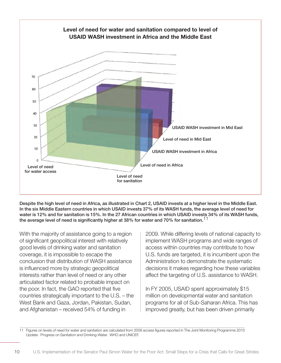

**Despite the high level of need in Africa, as illustrated in Chart 2, USAID invests at a higher level in the Middle East. In the six Middle Eastern countries in which USAID invests 37% of its WASH funds, the average level of need for water is 12% and for sanitation is 15%. In the 27 African countries in which USAID invests 34% of its WASH funds, the average level of need is significantly higher at 38% for water and 70% for sanitation.**11

With the majority of assistance going to a region of significant geopolitical interest with relatively good levels of drinking water and sanitation coverage, it is impossible to escape the conclusion that distribution of WASH assistance is influenced more by strategic geopolitical interests rather than level of need or any other articulated factor related to probable impact on the poor. In fact, the GAO reported that five countries strategically important to the U.S. – the West Bank and Gaza, Jordan, Pakistan, Sudan, and Afghanistan – received 54% of funding in

2009. While differing levels of national capacity to implement WASH programs and wide ranges of access within countries may contribute to how U.S. funds are targeted, it is incumbent upon the Administration to demonstrate the systematic decisions it makes regarding how these variables affect the targeting of U.S. assistance to WASH.

In FY 2005, USAID spent approximately \$15 million on developmental water and sanitation programs for all of Sub-Saharan Africa. This has improved greatly, but has been driven primarily

11 Figures on levels of need for water and sanitation are calculated from 2008 access figures reported in The Joint Monitoring Programme 2010 Update: Progress on Sanitation and Drinking-Water. WHO and UNICEF.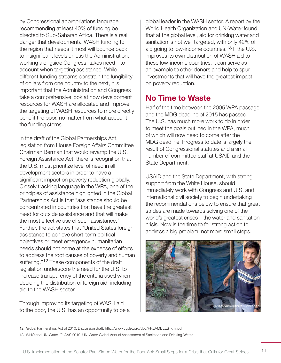by Congressional appropriations language recommending at least 40% of funding be directed to Sub-Saharan Africa. There is a real danger that developmental WASH funding to the region that needs it most will bounce back to insignificant levels unless the Administration, working alongside Congress, takes need into account when targeting assistance. While different funding streams constrain the fungibility of dollars from one country to the next, it is important that the Administration and Congress take a comprehensive look at how development resources for WASH are allocated and improve the targeting of WASH resources to more directly benefit the poor, no matter from what account the funding stems.

In the draft of the Global Partnerships Act, legislation from House Foreign Affairs Committee Chairman Berman that would revamp the U.S. Foreign Assistance Act, there is recognition that the U.S. must prioritize level of need in all development sectors in order to have a significant impact on poverty reduction globally. Closely tracking language in the WPA, one of the principles of assistance highlighted in the Global Partnerships Act is that "assistance should be concentrated in countries that have the greatest need for outside assistance and that will make the most effective use of such assistance." Further, the act states that "United States foreign assistance to achieve short-term political objectives or meet emergency humanitarian needs should not come at the expense of efforts to address the root causes of poverty and human suffering."<sup>12</sup> These components of the draft legislation underscore the need for the U.S. to increase transparency of the criteria used when deciding the distribution of foreign aid, including aid to the WASH sector.

Through improving its targeting of WASH aid to the poor, the U.S. has an opportunity to be a

global leader in the WASH sector. A report by the World Health Organization and UN-Water found that at the global level, aid for drinking water and sanitation is not well targeted, with only 42% of aid going to low-income countries.<sup>13</sup> If the U.S. improves its own distribution of WASH aid to these low-income countries, it can serve as an example to other donors and help to spur investments that will have the greatest impact on poverty reduction.

## **No Time to Waste**

Half of the time between the 2005 WPA passage and the MDG deadline of 2015 has passed. The U.S. has much more work to do in order to meet the goals outlined in the WPA, much of which will now need to come after the MDG deadline. Progress to date is largely the result of Congressional statutes and a small number of committed staff at USAID and the State Department.

USAID and the State Department, with strong support from the White House, should immediately work with Congress and U.S. and international civil society to begin undertaking the recommendations below to ensure that great strides are made towards solving one of the world's greatest crises – the water and sanitation crisis. Now is the time to for strong action to address a big problem, not more small steps.



12 Global Partnerships Act of 2010: Discussion draft. http://www.cgdev.org/doc/PREAMBLES\_xml.pdf

13 WHO and UN-Water. GLAAS 2010: UN-Water Global Annual Assessment of Sanitation and Drinking-Water.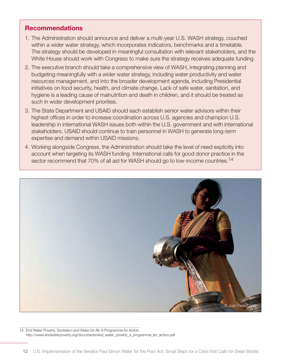#### **Recommendations**

- 1. The Administration should announce and deliver a multi-year U.S. WASH strategy, couched within a wider water strategy, which incorporates indicators, benchmarks and a timetable. The strategy should be developed in meaningful consultation with relevant stakeholders, and the White House should work with Congress to make sure the strategy receives adequate funding.
- 2. The executive branch should take a comprehensive view of WASH, integrating planning and budgeting meaningfully with a wider water strategy, including water productivity and water resources management, and into the broader development agenda, including Presidential initiatives on food security, health, and climate change. Lack of safe water, sanitation, and hygiene is a leading cause of malnutrition and death in children, and it should be treated as such in wider development priorities.
- 3. The State Department and USAID should each establish senior water advisors within their highest offices in order to increase coordination across U.S. agencies and champion U.S. leadership in international WASH issues both within the U.S. government and with international stakeholders. USAID should continue to train personnel in WASH to generate long-term expertise and demand within USAID missions.
- 4. Working alongside Congress, the Administration should take the level of need explicitly into account when targeting its WASH funding. International calls for good donor practice in the sector recommend that 70% of all aid for WASH should go to low-income countries.<sup>14</sup>



14 End Water Poverty. Sanitation and Water for All: A Programme for Action. http://www.endwaterpoverty.org/documents/end\_water\_poverty\_a\_programme\_for\_action.pdf